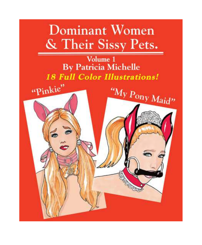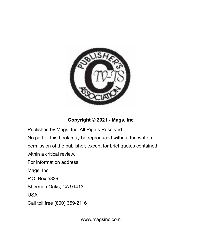

## **Copyright © 2021 - Mags, Inc**

Published by Mags, Inc. All Rights Reserved.

No part of this book may be reproduced without the written permission of the publisher, except for brief quotes contained within a critical review.

For information address

Mags, Inc.

P.O. Box 5829

Sherman Oaks, CA 91413

USA

Call toll free (800) 359-2116

www.magsinc.com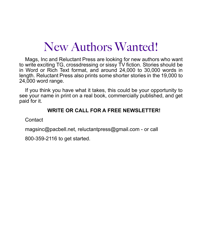# New Authors Wanted!

Mags, Inc and Reluctant Press are looking for new authors who want to write exciting TG, crossdressing or sissy TV fiction. Stories should be in Word or Rich Text format, and around 24,000 to 30,000 words in length. Reluctant Press also prints some shorter stories in the 19,000 to 24,000 word range.

If you think you have what it takes, this could be your opportunity to see your name in print on a real book, commercially published, and get paid for it.

#### **WRITE OR CALL FOR A FREE NEWSLETTER!**

**Contact** 

magsinc@pacbell.net, reluctantpress@gmail.com - or call

800-359-2116 to get started.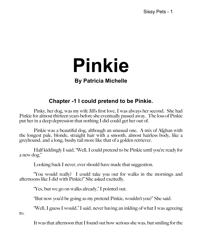# **Pinkie**

# **By Patricia Michelle**

# **Chapter -1 I could pretend to be Pinkie.**

Pinky, her dog, was my wife Jill's first love, I was always her second. She had Pinkie for almost thirteen years before she eventually passed away. The loss of Pinkie put her in a deep depression that nothing I did could get her out of.

Pinkie was a beautiful dog, although an unusual one. A mix of Afghan with the longest pale, blonde, straight hair with a smooth, almost hairless body, like a greyhound, and a long, bushy tail more like that of a golden retriever.

Half kiddingly I said, "Well, I could pretend to be Pinkie until you're ready for a new dog."

Looking back I never, ever should have made that suggestion.

"You would really? I could take you out for walks in the mornings and afternoons like I did with Pinkie?" She asked excitedly.

"Yes, but we go on walks already," I pointed out.

"But now you'd be going as my pretend Pinkie, wouldn't you?" She said.

"Well, I guess I would," I said, never having an inkling of what I was agreeing

to.

It was that afternoon that I found out how serious she was, but smiling for the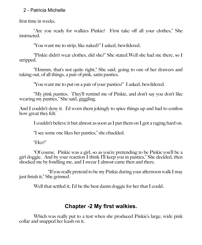first time in weeks.

"Are you ready for walkies Pinkie? First take off all your clothes," She instructed.

"You want me to strip, like naked?" I asked, bewildered.

"Pinkie didn't wear clothes, did she?" She stated.Well she had me there, so I stripped.

"Hmmm, that's not quite right," She said, going to one of her drawers and taking out, of all things, a pair of pink, satin panties.

"You want me to put on a pair of your panties?" I asked, bewildered.

"My pink panties. They'll remind me of Pinkie, and don't say you don't like wearing my panties," She said, giggling.

And I couldn't deny it. I'd worn them jokingly to spice things up and had to confess how great they felt.

I couldn't believe it but almost as soon as I put them on I got a raging hard on.

"I see some one likes her panties," she chuckled.

"Her?"

"Of course. Pinkie was a girl, so as you're pretending to be Pinkie you'll be a girl doggie. And by your reaction I think I'll keep you in panties," She decided, then shocked me by fondling me, and I swear I almost came then and there.

"If you really pretend to be my Pinkie during your afternoon walk I may just finish it," She grinned.

Well that settled it, I'd be the best damn doggie for her that I could.

# **Chapter -2 My first walkies.**

Which was really put to a test when she produced Pinkie's large, wide pink collar and snapped her leash on it.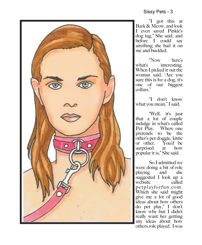

"I got this at Bark & Meow, and look I even saved Pinkie's dog tag," She said, and before I could say anything she had it on me and buckled.

"Now here's what's interesting. When I picked it out the woman said, 'Are you sure this is for a dog, it's one of our biggest collars."

"I don't know what you mean," I said.

"Well, it's just that a lot of couple indulge in what's called Pet Play. Where one pretends to be the other's pet doggie, kittie or other. You'd be<br>surprised at how surprised popular it is," She said.

So I admitted we were doing a bit of role playing and she suggested I look up a website called petplayforfun.com. Which she said might give me a lot of good ideas about how others do pet play," I don't know why but I didn't really want her getting any ideas about how others role played. I was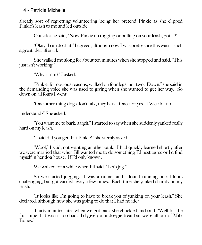already sort of regretting volunteering being her pretend Pinkie as she clipped Pinkie's leash to me and led outside.

Outside she said, "Now Pinkie no tugging or pulling on your leash, got it?"

"Okay, I can do that," I agreed, although now I was pretty sure this wasn't such a great idea after all.

She walked me along for about ten minutes when she stopped and said, "This just isn't working."

"Why isn't it?" I asked.

"Pinkie, for obvious reasons, walked on four legs, not two. Down," she said in the demanding voice she was used to giving when she wanted to get her way. So down on all fours I went.

"One other thing dogs don't talk, they bark. Once for yes. Twice for no,

understand?" She asked.

"You want me to bark, aargh," I started to say when she suddenly yanked really hard on my leash.

"I said did you get that Pinkie?" she sternly asked.

"Woof," I said, not wanting another yank. I had quickly learned shortly after we were married that when Jill wanted me to do something I'd best agree or I'd find myself in her dog house. If I'd only known.

We walked for a while when Jill said, "Let's jog."

So we started jogging. I was a runner and I found running on all fours challenging, but got carried away a few times. Each time she yanked sharply on my leash.

"It looks like I'm going to have to break you of yanking on your leash," She declared, although how she was going to do that I had no idea.

Thirty minutes later when we got back she chuckled and said, "Well for the first time that wasn't too bad. I'd give you a doggie treat but we're all our of Milk Bones."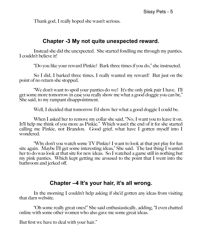Thank god, I really hoped she wasn't serious.

# **Chapter -3 My not quite unexpected reward.**

Instead she did the unexpected. She started fondling me through my panties. I couldn't believe it!

"Do you like your reward Pinkie? Bark three times if you do," she instructed.

So I did, I barked three times, I really wanted my reward! But just on the point of no return she stopped.

"We don't want to spoil your panties do we? It's the only pink pair I have. I'll get some more tomorrow in case you really show me what a good doggie you can be," She said, to my rampant disappointment.

Well, I decided that tomorrow I'd show her what a good doggie I could be.

When I asked her to remove my collar she said, "No, I want you to leave it on. It'll help me think of you more as Pinkie." Which wasn't the end of it for she started calling me Pinkie, not Brandon. Good grief, what have I gotten myself into I wondered.

"Why don't you watch some TV Pinkie? I want to look at that pet play for fun site again. Maybe I'll get some interesting ideas," She said. The last thing I wanted her to do was look at that site for new ideas. So I watched a game still in nothing but my pink panties. Which kept getting me aroused to the point that I went into the bathroom and jerked off.

# **Chapter –4 It's your hair, it's all wrong.**

In the morning I couldn't help asking if she'd gotten any ideas from visiting that darn website.

"Oh some really great ones!" She said enthusiastically, adding, "I even chatted online with some other women who also gave me some great ideas.

But first we have to deal with your hair."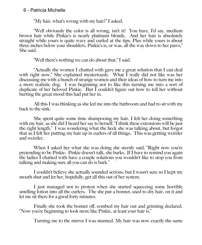"My hair, what's wrong with my hair?" I asked.

"Well obviously the color is all wrong, isn't it? You have, I'd say, medium brown hair while Pinkie's is nearly platinum blonde. And her hair is absolutely straight while yours is quite wavy and curled at the tips. Plus while yours is about three inches below your shoulders, Pinkie's is, or was, all the way down to her paws," She said.

"Well there's nothing we can do about that," I said.

"Actually the women I chatted with gave me a great solution that I can deal with right now," She explained mysteriously. What  $\tilde{I}$  really did not like was her discussing me with a bunch of strange women and their ideas of how to turn me into a more realistic dog. I was beginning not to like this turning me into a sort of duplicate of her beloved Pinkie. But I couldn't figure out how to tell her without hurting the great mood this had put her in.

All this I was thinking as she led me into the bathroom and had to sit with my back to the sink.

She spent quite some time shampooing my hair, I felt her doing something with my hair, as she did I heard her say to herself, "I think these extensions will be just the right length." I was wondering what the heck she was talking about, but forgot that as I felt her putting my hair up in curlers of all things. This was getting weirder and weirder.

When I asked her what she was doing she sternly said, "Right now you're pretending to be Pinkie. Pinkie doesn't talk, she barks. If I have to remind you again the ladies I chatted with have a couple solutions you wouldn't like to stop you from talking and making sure all you can do is bark."

I couldn't believe she actually sounded serious, but I wasn't sure so I kept my mouth shut and let her, hopefully, get all this out of her system.

I just managed not to protest when she started squeezing some horrible smelling lotion into all the curlers. The she put a bonnet, used to dry hair, on it and let me sit there for a good forty minutes.

Finally she took the bonnet off, combed my hair out and grinning declared, "Now you're beginning to look more like Pinkie, at least your hair is."

Turning me to the mirror I was stunned. My hair was now exactly the same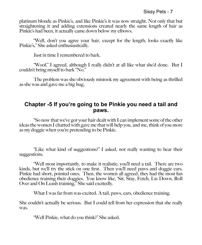platinum blonde as Pinkie's, and like Pinkie's it was now straight. Not only that but straightening it and adding extensions created nearly the same length of hair as Pinkie's had been, it actually came down below my elbows.

"Well, don't you agree your hair, except for the length, looks exactly like Pinkie's," She asked enthusiastically.

Just in time I remembered to bark.

"Woof," I agreed, although I really didn't at all like what she'd done. But I couldn't bring myself to bark "No."

The problem was she obviously mistook my agreement with being as thrilled as she was and gave me a big hug.

#### **Chapter -5 If you're going to be Pinkie you need a tail and paws.**

"So now that we've got your hair dealt with I can implement some of the other ideas the women I chatted with gave me that will help you, and me, think of you more as my doggie when you're pretending to be Pinkie.

"Like what kind of suggestions?" I asked, not really wanting to hear their suggestions.

"Well most importantly, to make it realistic, you'll need a tail. There are two kinds, but we'll try the stick on one first. Then you'll need paws and doggie ears. Pinkie had short, pointed ones. Then, the women all agreed, they had the most fun obedience training their doggies. You know like, 'Sit, Stay, Fetch, Lie Down, Roll Over and On Leash training," She said excitedly.

What I was far from was excited. A tail, paws, ears, obedience training.

She couldn't actually be serious. But I could tell from her expression that she really was.

"Well Pinkie, what do you think?" She asked.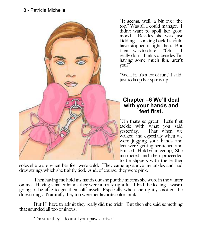

"It seems, well, a bit over the top," Was all I could manage. I didn't want to spoil her good mood. Besides she was just kidding. Looking back I should have stopped it right then. But then it was too late  $\degree$  Oh really don't think so, besides I'm having some much fun, aren't you?"

"Well, it, it's a lot of fun," I said, just to keep her spirits up.

#### **Chapter –6 We'll deal with your hands and feet first.**

"Oh that's so great. Let's first tackle with what you said yesterday. That when we walked and especially when we were jogging your hands and feet were getting scratched and bruised. Hold your feet up," She instructed and then proceeded to tie slippers with the leather

soles she wore when her feet were cold. They came up above my ankles and had drawstrings which she tightly tied. And, of course, they were pink.

Then having me hold my hands out she put the mittens she wore in the winter on me. Having smaller hands they were a really tight fit. I had the feeling I wasn't going to be able to get them off myself. Especially when she tightly knotted the drawstrings. Naturally they too were her favorite color, pink.

But I'll have to admit they really did the trick. But then she said something that sounded all too ominous.

"I'm sure they'll do until your paws arrive."